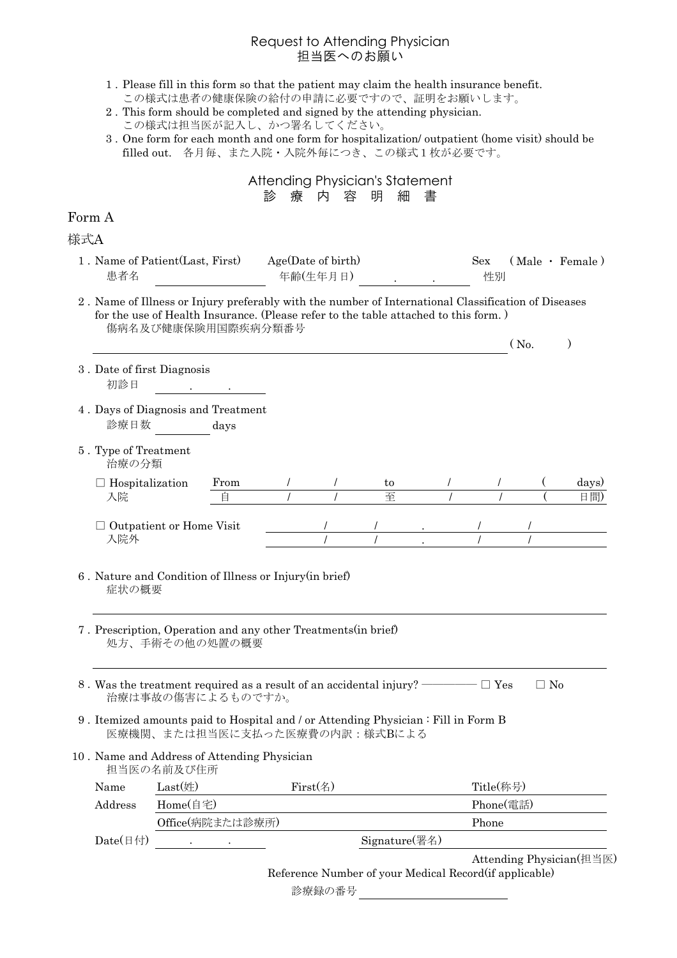## Request to Attending Physician 担当医へのお願い

- 1 . Please fill in this form so that the patient may claim the health insurance benefit. この様式は患者の健康保険の給付の申請に必要ですので、証明をお願いします。
- 2 . This form should be completed and signed by the attending physician. この様式は担当医が記入し、かつ署名してください。
- 3 . One form for each month and one form for hospitalization/ outpatient (home visit) should be filled out. 各月毎、また入院・入院外毎につき、この様式1枚が必要です。

## Attending Physician's Statement 診 療 内 容 明 細 書

## Form A

様式A

| 1. Name of Patient (Last, First) | Age(Date of birth) |  |    | $Sex$ (Male · Female) |
|----------------------------------|--------------------|--|----|-----------------------|
| 患者名                              | 年齢(生年月日)           |  | 性別 |                       |

2 . Name of Illness or Injury preferably with the number of International Classification of Diseases for the use of Health Insurance. (Please refer to the table attached to this form. ) 傷病名及び健康保険用国際疾病分類番号

3 . Date of first Diagnosis 初診日 . . .

| 4 . Days of Diagnosis and Treatment |      |
|-------------------------------------|------|
| 診療日数                                | days |

5 . Type of Treatment 治療の分類

入院外

| $\Box$ Hospitalization          | From |  |   |  | days) |
|---------------------------------|------|--|---|--|-------|
| 入院                              |      |  | 士 |  | 間     |
| $\Box$ Outpatient or Home Visit |      |  |   |  |       |

6 . Nature and Condition of Illness or Injury(in brief) 症状の概要

- 7 . Prescription, Operation and any other Treatments(in brief) 処方、手術その他の処置の概要
- 8 . Was the treatment required as a result of an accidental injury? ――――― □ Yes □ No 治療は事故の傷害によるものですか。
- 9 . Itemized amounts paid to Hospital and / or Attending Physician : Fill in Form B 医療機関、または担当医に支払った医療費の内訳:様式Bによる

## 10 . Name and Address of Attending Physician 担当医の名前及び住所

| Name                     | Last $(\nleftrightarrow)$ | First(4) |                  | Title(称号)                |
|--------------------------|---------------------------|----------|------------------|--------------------------|
| Address                  | $Home($ 自宅 $)$            |          |                  | Phone(電話)                |
|                          | Office(病院または診療所)          |          |                  | Phone                    |
| Date $(\exists \forall)$ |                           |          | $Signature$ (署名) |                          |
|                          |                           |          |                  | Attending Physician(担当医) |

Reference Number of your Medical Record(if applicable)

/ / . / /

 $(N_0, \ldots)$ 

診療録の番号